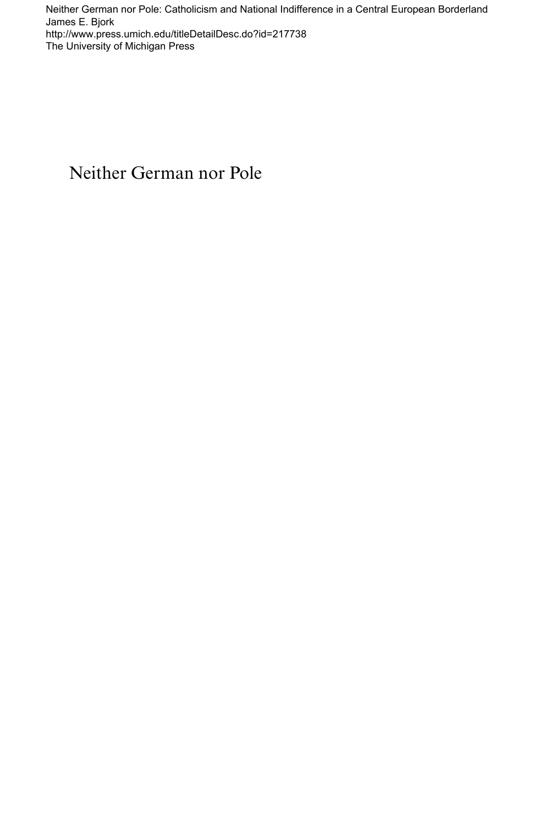#### Neither German nor Pole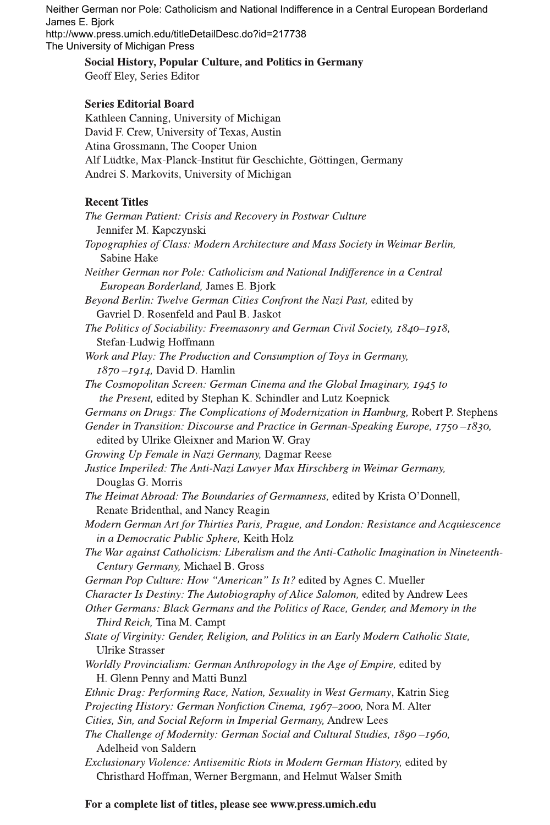Social History, Popular Culture, and Politics in Germany Geoff Eley, Series Editor

#### **Series Editorial Board**

Kathleen Canning, University of Michigan David F. Crew, University of Texas, Austin Atina Grossmann, The Cooper Union Alf Lüdtke, Max-Planck-Institut für Geschichte, Göttingen, Germany Andrei S. Markovits, University of Michigan

#### **Recent Titles**

The German Patient: Crisis and Recovery in Postwar Culture Jennifer M. Kapczynski Topographies of Class: Modern Architecture and Mass Society in Weimar Berlin, Sabine Hake Neither German nor Pole: Catholicism and National Indifference in a Central European Borderland, James E. Bjork Beyond Berlin: Twelve German Cities Confront the Nazi Past, edited by Gavriel D. Rosenfeld and Paul B. Jaskot The Politics of Sociability: Freemasonry and German Civil Society, 1840–1918, Stefan-Ludwig Hoffmann Work and Play: The Production and Consumption of Toys in Germany, 1870–1914, David D. Hamlin The Cosmopolitan Screen: German Cinema and the Global Imaginary, 1945 to the Present, edited by Stephan K. Schindler and Lutz Koepnick Germans on Drugs: The Complications of Modernization in Hamburg, Robert P. Stephens Gender in Transition: Discourse and Practice in German-Speaking Europe,  $1750 - 1830$ , edited by Ulrike Gleixner and Marion W. Gray Growing Up Female in Nazi Germany, Dagmar Reese Justice Imperiled: The Anti-Nazi Lawyer Max Hirschberg in Weimar Germany, Douglas G. Morris The Heimat Abroad: The Boundaries of Germanness, edited by Krista O'Donnell, Renate Bridenthal, and Nancy Reagin Modern German Art for Thirties Paris, Prague, and London: Resistance and Acquiescence in a Democratic Public Sphere, Keith Holz The War against Catholicism: Liberalism and the Anti-Catholic Imagination in Nineteenth-Century Germany, Michael B. Gross German Pop Culture: How "American" Is It? edited by Agnes C. Mueller Character Is Destiny: The Autobiography of Alice Salomon, edited by Andrew Lees Other Germans: Black Germans and the Politics of Race, Gender, and Memory in the Third Reich, Tina M. Campt State of Virginity: Gender, Religion, and Politics in an Early Modern Catholic State, **Ulrike Strasser** Worldly Provincialism: German Anthropology in the Age of Empire, edited by H. Glenn Penny and Matti Bunzl Ethnic Drag: Performing Race, Nation, Sexuality in West Germany, Katrin Sieg Projecting History: German Nonfiction Cinema, 1967-2000, Nora M. Alter Cities, Sin, and Social Reform in Imperial Germany, Andrew Lees The Challenge of Modernity: German Social and Cultural Studies, 1890-1960, Adelheid von Saldern Exclusionary Violence: Antisemitic Riots in Modern German History, edited by Christhard Hoffman, Werner Bergmann, and Helmut Walser Smith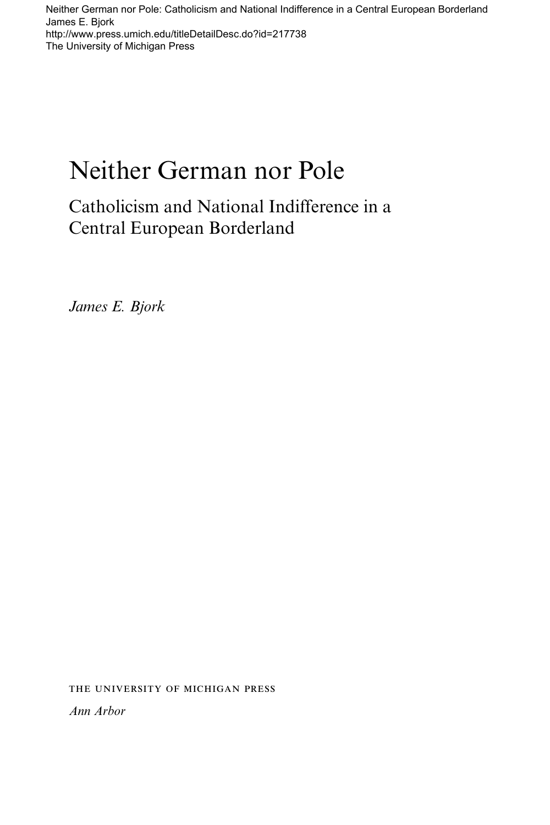# Neither German nor Pole

Catholicism and National Indifference in a Central European Borderland

*James E. Bjork*

the university of michigan press

*Ann Arbor*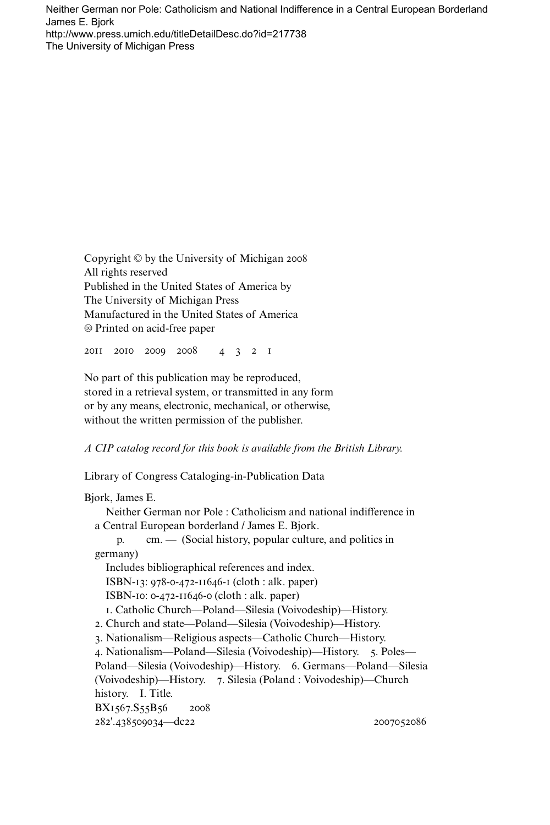Copyright © by the University of Michigan 2008 All rights reserved Published in the United States of America by The University of Michigan Press Manufactured in the United States of America  $\circledcirc$  Printed on acid-free paper

2011 2010 2009 2008 4321

No part of this publication may be reproduced, stored in a retrieval system, or transmitted in any form or by any means, electronic, mechanical, or otherwise, without the written permission of the publisher.

*A CIP catalog record for this book is available from the British Library.*

Library of Congress Cataloging-in-Publication Data

```
Bjork, James E.
  Neither German nor Pole : Catholicism and national indifference in
a Central European borderland / James E. Bjork.
    p. cm. — (Social history, popular culture, and politics in
germany)
  Includes bibliographical references and index.
  ISBN-13: 978-0-472-11646-1 (cloth : alk. paper)
  ISBN-10: 0-472-11646-0 (cloth : alk. paper) 
  1. Catholic Church—Poland—Silesia (Voivodeship)—History. 
2. Church and state—Poland—Silesia (Voivodeship)—History. 
3. Nationalism—Religious aspects—Catholic Church—History. 
4. Nationalism—Poland—Silesia (Voivodeship)—History. 5. Poles— 
Poland—Silesia (Voivodeship)—History. 6. Germans—Poland—Silesia
(Voivodeship)—History. 7. Silesia (Poland : Voivodeship)—Church
history. I. Title. 
BX1567.S55B56 2008
282'.438509034—dc22 2007052086
```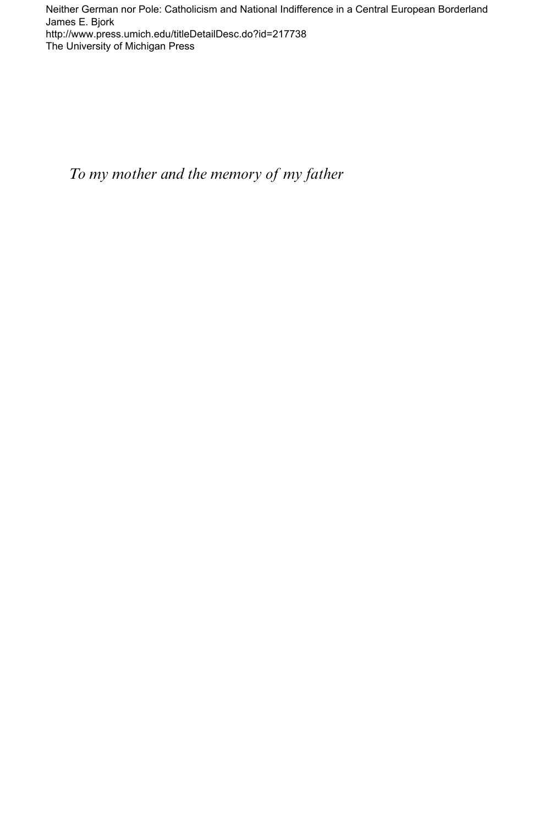*To my mother and the memory of my father*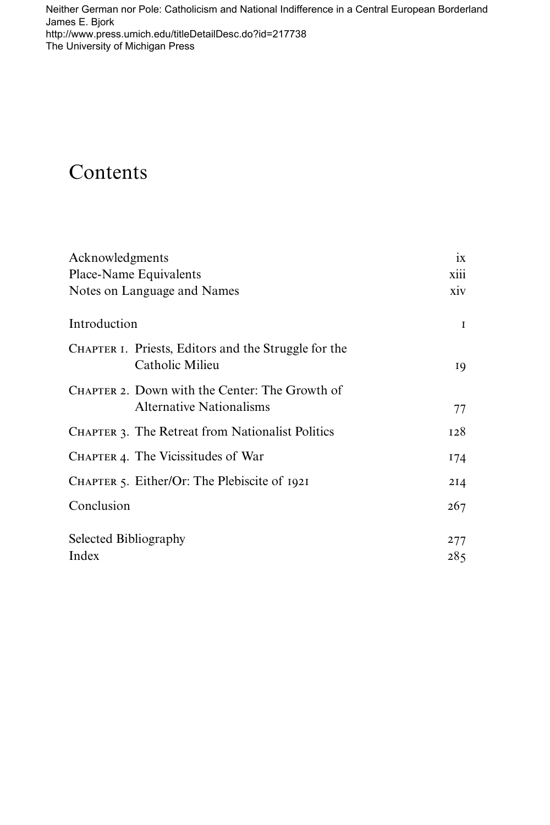### Contents

| Acknowledgments                                                                   | ix         |
|-----------------------------------------------------------------------------------|------------|
| Place-Name Equivalents                                                            | xiii       |
| Notes on Language and Names                                                       | xiv        |
| Introduction                                                                      | $\bf{I}$   |
| CHAPTER I. Priests, Editors and the Struggle for the<br>Catholic Milieu           | 19         |
| CHAPTER 2. Down with the Center: The Growth of<br><b>Alternative Nationalisms</b> | 77         |
| CHAPTER 3. The Retreat from Nationalist Politics                                  | 128        |
| CHAPTER 4. The Vicissitudes of War                                                | 174        |
| CHAPTER 5. Either/Or: The Plebiscite of 1921                                      | 214        |
| Conclusion                                                                        | 267        |
| Selected Bibliography<br>Index                                                    | 277<br>285 |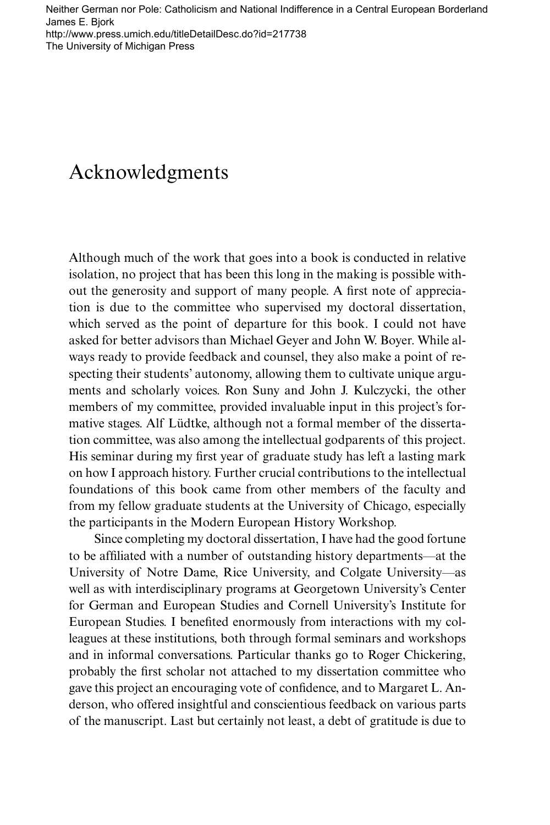### Acknowledgments

Although much of the work that goes into a book is conducted in relative isolation, no project that has been this long in the making is possible without the generosity and support of many people. A first note of appreciation is due to the committee who supervised my doctoral dissertation, which served as the point of departure for this book. I could not have asked for better advisors than Michael Geyer and John W. Boyer. While always ready to provide feedback and counsel, they also make a point of respecting their students' autonomy, allowing them to cultivate unique arguments and scholarly voices. Ron Suny and John J. Kulczycki, the other members of my committee, provided invaluable input in this project's formative stages. Alf Lüdtke, although not a formal member of the dissertation committee, was also among the intellectual godparents of this project. His seminar during my first year of graduate study has left a lasting mark on how I approach history. Further crucial contributions to the intellectual foundations of this book came from other members of the faculty and from my fellow graduate students at the University of Chicago, especially the participants in the Modern European History Workshop.

Since completing my doctoral dissertation, I have had the good fortune to be affiliated with a number of outstanding history departments—at the University of Notre Dame, Rice University, and Colgate University—as well as with interdisciplinary programs at Georgetown University's Center for German and European Studies and Cornell University's Institute for European Studies. I benefited enormously from interactions with my colleagues at these institutions, both through formal seminars and workshops and in informal conversations. Particular thanks go to Roger Chickering, probably the first scholar not attached to my dissertation committee who gave this project an encouraging vote of confidence, and to Margaret L. Anderson, who offered insightful and conscientious feedback on various parts of the manuscript. Last but certainly not least, a debt of gratitude is due to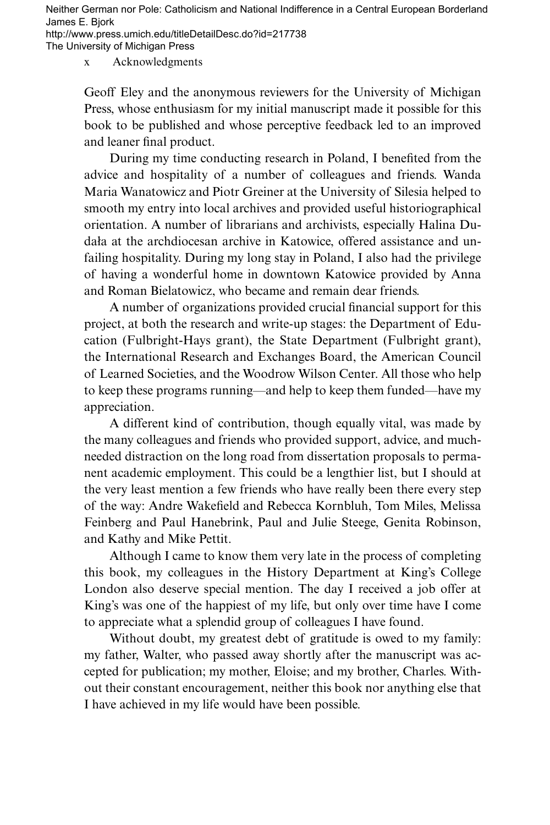Neither German nor Pole: Catholicism and National Indifference in a Central European Borderland James E. Bjork

http://www.press.umich.edu/titleDetailDesc.do?id=217738 The University of Michigan Press

x Acknowledgments

Geoff Eley and the anonymous reviewers for the University of Michigan Press, whose enthusiasm for my initial manuscript made it possible for this book to be published and whose perceptive feedback led to an improved and leaner final product.

During my time conducting research in Poland, I benefited from the advice and hospitality of a number of colleagues and friends. Wanda Maria Wanatowicz and Piotr Greiner at the University of Silesia helped to smooth my entry into local archives and provided useful historiographical orientation. A number of librarians and archivists, especially Halina Dudala at the archdiocesan archive in Katowice, offered assistance and unfailing hospitality. During my long stay in Poland, I also had the privilege of having a wonderful home in downtown Katowice provided by Anna and Roman Bielatowicz, who became and remain dear friends.

A number of organizations provided crucial financial support for this project, at both the research and write-up stages: the Department of Education (Fulbright-Hays grant), the State Department (Fulbright grant), the International Research and Exchanges Board, the American Council of Learned Societies, and the Woodrow Wilson Center. All those who help to keep these programs running—and help to keep them funded—have my appreciation.

A different kind of contribution, though equally vital, was made by the many colleagues and friends who provided support, advice, and muchneeded distraction on the long road from dissertation proposals to permanent academic employment. This could be a lengthier list, but I should at the very least mention a few friends who have really been there every step of the way: Andre Wakefield and Rebecca Kornbluh, Tom Miles, Melissa Feinberg and Paul Hanebrink, Paul and Julie Steege, Genita Robinson, and Kathy and Mike Pettit.

Although I came to know them very late in the process of completing this book, my colleagues in the History Department at King's College London also deserve special mention. The day I received a job offer at King's was one of the happiest of my life, but only over time have I come to appreciate what a splendid group of colleagues I have found.

Without doubt, my greatest debt of gratitude is owed to my family: my father, Walter, who passed away shortly after the manuscript was accepted for publication; my mother, Eloise; and my brother, Charles. Without their constant encouragement, neither this book nor anything else that I have achieved in my life would have been possible.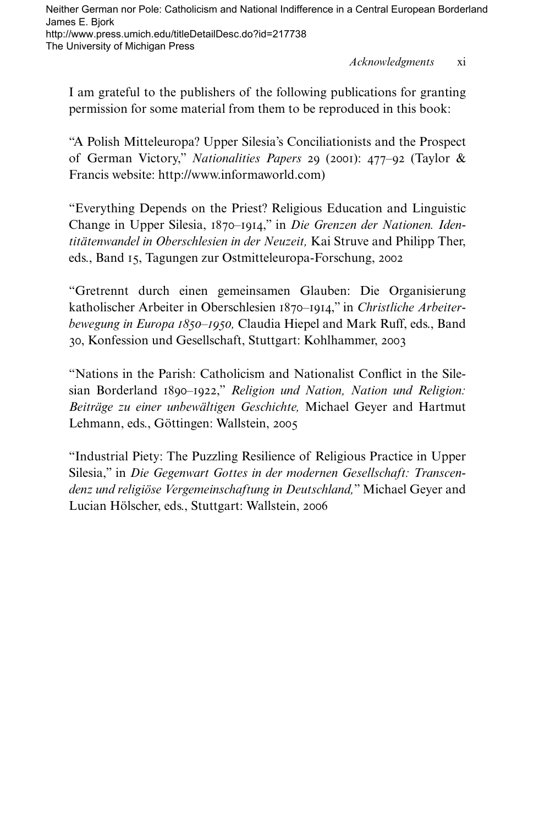*Acknowledgments* xi

I am grateful to the publishers of the following publications for granting permission for some material from them to be reproduced in this book:

"A Polish Mitteleuropa? Upper Silesia's Conciliationists and the Prospect of German Victory," *Nationalities Papers* 29 (2001): 477–92 (Taylor & Francis website: http://www.informaworld.com)

"Everything Depends on the Priest? Religious Education and Linguistic Change in Upper Silesia, 1870–1914," in *Die Grenzen der Nationen. Identitätenwandel in Oberschlesien in der Neuzeit,* Kai Struve and Philipp Ther, eds., Band 15, Tagungen zur Ostmitteleuropa-Forschung, 2002

"Gretrennt durch einen gemeinsamen Glauben: Die Organisierung katholischer Arbeiter in Oberschlesien 1870–1914," in *Christliche Arbeiterbewegung in Europa 1850–1950,* Claudia Hiepel and Mark Ruff, eds., Band 30, Konfession und Gesellschaft, Stuttgart: Kohlhammer, 2003

"Nations in the Parish: Catholicism and Nationalist Conflict in the Silesian Borderland 1890–1922," *Religion und Nation, Nation und Religion: Beiträge zu einer unbewältigen Geschichte,* Michael Geyer and Hartmut Lehmann, eds., Göttingen: Wallstein, 2005

"Industrial Piety: The Puzzling Resilience of Religious Practice in Upper Silesia," in *Die Gegenwart Gottes in der modernen Gesellschaft: Transcendenz und religiöse Vergemeinschaftung in Deutschland,*" Michael Geyer and Lucian Hölscher, eds., Stuttgart: Wallstein, 2006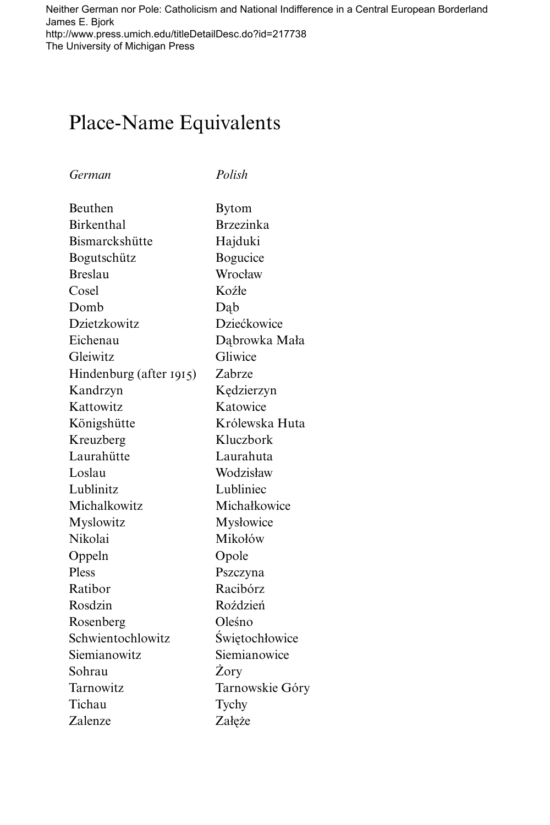## Place-Name Equivalents

*German Polish*

| Beuthen                 | Bytom            |
|-------------------------|------------------|
| Birkenthal              | <b>Brzezinka</b> |
| Bismarckshütte          | Hajduki          |
| Bogutschütz             | Bogucice         |
| <b>Breslau</b>          | Wrocław          |
| Cosel                   | Koźłe            |
| Domb                    | Dąb              |
| <b>Dzietzkowitz</b>     | Dziećkowice      |
| Eichenau                | Dabrowka Mała    |
| Gleiwitz                | Gliwice          |
| Hindenburg (after 1915) | Zabrze           |
| Kandrzyn                | Kędzierzyn       |
| Kattowitz               | Katowice         |
| Königshütte             | Królewska Huta   |
| Kreuzberg               | Kluczbork        |
| Laurahütte              | Laurahuta        |
| Loslau                  | Wodzisław        |
| Lublinitz               | Lubliniec        |
| Michalkowitz            | Michałkowice     |
| Myslowitz               | Mysłowice        |
| Nikolai                 | Mikołów          |
| Oppeln                  | Opole            |
| Pless                   | Pszczyna         |
| Ratibor                 | Racibórz         |
| Rosdzin                 | Roździeń         |
| Rosenberg               | Oleśno           |
| Schwientochlowitz       | Świętochłowice   |
| Siemianowitz            | Siemianowice     |
| Sohrau                  | Žory             |
| <b>Tarnowitz</b>        | Tarnowskie Góry  |
| Tichau                  | Tychy            |
| Zalenze                 | Załęże           |
|                         |                  |